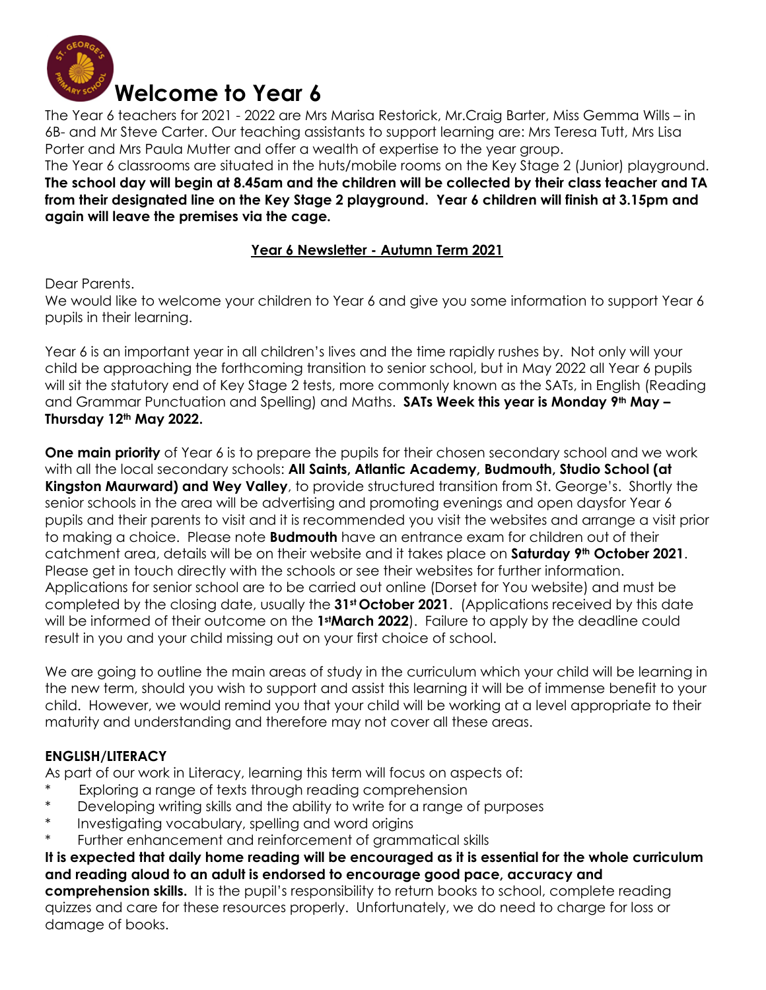

The Year 6 teachers for 2021 - 2022 are Mrs Marisa Restorick, Mr.Craig Barter, Miss Gemma Wills – in 6B- and Mr Steve Carter. Our teaching assistants to support learning are: Mrs Teresa Tutt, Mrs Lisa Porter and Mrs Paula Mutter and offer a wealth of expertise to the year group.

The Year 6 classrooms are situated in the huts/mobile rooms on the Key Stage 2 (Junior) playground. **The school day will begin at 8.45am and the children will be collected by their class teacher and TA from their designated line on the Key Stage 2 playground. Year 6 children will finish at 3.15pm and again will leave the premises via the cage.** 

## **Year 6 Newsletter - Autumn Term 2021**

Dear Parents.

We would like to welcome your children to Year 6 and give you some information to support Year 6 pupils in their learning.

Year 6 is an important year in all children's lives and the time rapidly rushes by. Not only will your child be approaching the forthcoming transition to senior school, but in May 2022 all Year 6 pupils will sit the statutory end of Key Stage 2 tests, more commonly known as the SATs, in English (Reading and Grammar Punctuation and Spelling) and Maths. **SATs Week this year is Monday 9th May – Thursday 12th May 2022.**

**One main priority** of Year 6 is to prepare the pupils for their chosen secondary school and we work with all the local secondary schools: **All Saints, Atlantic Academy, Budmouth, Studio School (at Kingston Maurward) and Wey Valley**, to provide structured transition from St. George's. Shortly the senior schools in the area will be advertising and promoting evenings and open daysfor Year 6 pupils and their parents to visit and it is recommended you visit the websites and arrange a visit prior to making a choice. Please note **Budmouth** have an entrance exam for children out of their catchment area, details will be on their website and it takes place on **Saturday 9th October 2021**. Please get in touch directly with the schools or see their websites for further information. Applications for senior school are to be carried out online (Dorset for You website) and must be completed by the closing date, usually the **31st October 2021**. (Applications received by this date will be informed of their outcome on the **1stMarch 2022**). Failure to apply by the deadline could result in you and your child missing out on your first choice of school.

We are going to outline the main areas of study in the curriculum which your child will be learning in the new term, should you wish to support and assist this learning it will be of immense benefit to your child. However, we would remind you that your child will be working at a level appropriate to their maturity and understanding and therefore may not cover all these areas.

# **ENGLISH/LITERACY**

As part of our work in Literacy, learning this term will focus on aspects of:

- Exploring a range of texts through reading comprehension
- \* Developing writing skills and the ability to write for a range of purposes
- \* Investigating vocabulary, spelling and word origins
- Further enhancement and reinforcement of grammatical skills

**It is expected that daily home reading will be encouraged as it is essential for the whole curriculum and reading aloud to an adult is endorsed to encourage good pace, accuracy and comprehension skills.** It is the pupil's responsibility to return books to school, complete reading quizzes and care for these resources properly. Unfortunately, we do need to charge for loss or damage of books.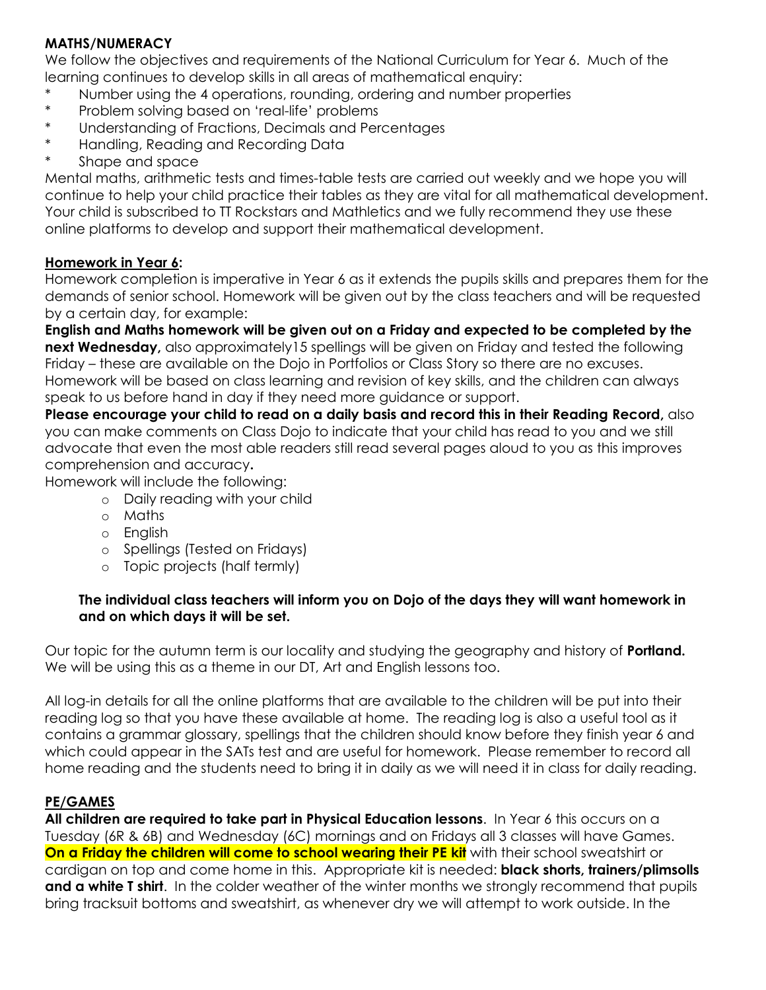## **MATHS/NUMERACY**

We follow the objectives and requirements of the National Curriculum for Year 6. Much of the learning continues to develop skills in all areas of mathematical enquiry:

- Number using the 4 operations, rounding, ordering and number properties
- \* Problem solving based on 'real-life' problems
- \* Understanding of Fractions, Decimals and Percentages
- \* Handling, Reading and Recording Data
- \* Shape and space

Mental maths, arithmetic tests and times-table tests are carried out weekly and we hope you will continue to help your child practice their tables as they are vital for all mathematical development. Your child is subscribed to TT Rockstars and Mathletics and we fully recommend they use these online platforms to develop and support their mathematical development.

## **Homework in Year 6:**

Homework completion is imperative in Year 6 as it extends the pupils skills and prepares them for the demands of senior school. Homework will be given out by the class teachers and will be requested by a certain day, for example:

**English and Maths homework will be given out on a Friday and expected to be completed by the next Wednesday**, also approximately15 spellings will be given on Friday and tested the following Friday – these are available on the Dojo in Portfolios or Class Story so there are no excuses. Homework will be based on class learning and revision of key skills, and the children can always speak to us before hand in day if they need more guidance or support.

**Please encourage your child to read on a daily basis and record this in their Reading Record,** also you can make comments on Class Dojo to indicate that your child has read to you and we still advocate that even the most able readers still read several pages aloud to you as this improves comprehension and accuracy**.** 

Homework will include the following:

- o Daily reading with your child
- o Maths
- o English
- o Spellings (Tested on Fridays)
- o Topic projects (half termly)

#### **The individual class teachers will inform you on Dojo of the days they will want homework in and on which days it will be set.**

Our topic for the autumn term is our locality and studying the geography and history of **Portland.**  We will be using this as a theme in our DT, Art and English lessons too.

All log-in details for all the online platforms that are available to the children will be put into their reading log so that you have these available at home. The reading log is also a useful tool as it contains a grammar glossary, spellings that the children should know before they finish year 6 and which could appear in the SATs test and are useful for homework. Please remember to record all home reading and the students need to bring it in daily as we will need it in class for daily reading.

#### **PE/GAMES**

**All children are required to take part in Physical Education lessons**. In Year 6 this occurs on a Tuesday (6R & 6B) and Wednesday (6C) mornings and on Fridays all 3 classes will have Games. **On a Friday the children will come to school wearing their PE kit** with their school sweatshirt or cardigan on top and come home in this. Appropriate kit is needed: **black shorts, trainers/plimsolls and a white T shirt**. In the colder weather of the winter months we strongly recommend that pupils bring tracksuit bottoms and sweatshirt, as whenever dry we will attempt to work outside. In the